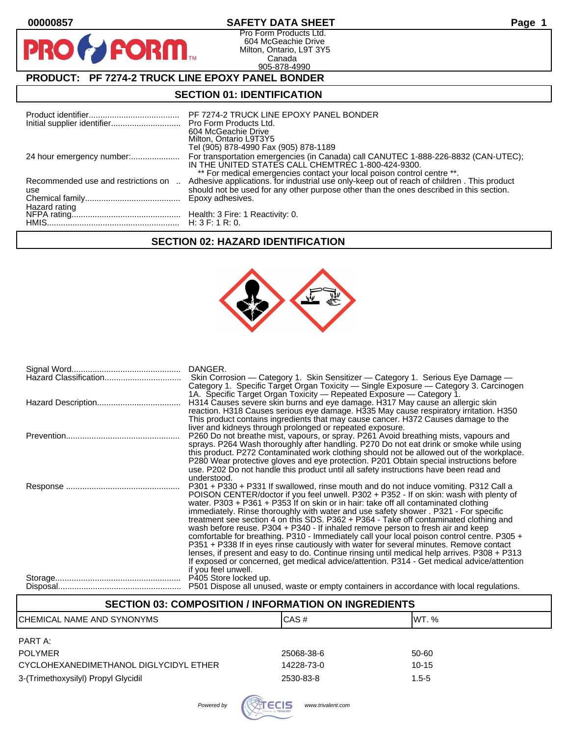| 00000857                                                | <b>SAFETY DATA SHEET</b>                                                                                                                                                                                            | Page |  |  |
|---------------------------------------------------------|---------------------------------------------------------------------------------------------------------------------------------------------------------------------------------------------------------------------|------|--|--|
| <b>PRO FORM</b>                                         | Pro Form Products Ltd.<br>604 McGeachie Drive<br>Milton, Ontario, L9T 3Y5<br>Canada<br>905-878-4990                                                                                                                 |      |  |  |
| <b>PRODUCT: PF 7274-2 TRUCK LINE EPOXY PANEL BONDER</b> |                                                                                                                                                                                                                     |      |  |  |
| <b>SECTION 01: IDENTIFICATION</b>                       |                                                                                                                                                                                                                     |      |  |  |
|                                                         | PF 7274-2 TRUCK LINE EPOXY PANEL BONDER<br>Pro Form Products Ltd.<br>604 McGeachie Drive<br>Milton, Ontario L9T3Y5<br>Tel (905) 878-4990 Fax (905) 878-1189                                                         |      |  |  |
|                                                         | For transportation emergencies (in Canada) call CANUTEC 1-888-226-8832 (CAN-UTEC);<br>IN THE UNITED STATES CALL CHEMTREC 1-800-424-9300.<br>** For medical emergencies contact your local poison control centre **. |      |  |  |
| Recommended use and restrictions on<br>use              | Adhesive applications. for industrial use only-keep out of reach of children . This product<br>should not be used for any other purpose other than the ones described in this section.<br>Epoxy adhesives.          |      |  |  |

# HMIS......................................................... H: 3 F: 1 R: 0. **SECTION 02: HAZARD IDENTIFICATION**

NFPA rating............................................... Health: 3 Fire: 1 Reactivity: 0.

Hazard rating



| DANGER.<br>Skin Corrosion - Category 1. Skin Sensitizer - Category 1. Serious Eye Damage -<br>Category 1. Specific Target Organ Toxicity — Single Exposure — Category 3. Carcinogen                                                                                                                                                                                                                                                                                                                                                                                                                                                                                                                                                                                                                                                                                                                                                                    |
|--------------------------------------------------------------------------------------------------------------------------------------------------------------------------------------------------------------------------------------------------------------------------------------------------------------------------------------------------------------------------------------------------------------------------------------------------------------------------------------------------------------------------------------------------------------------------------------------------------------------------------------------------------------------------------------------------------------------------------------------------------------------------------------------------------------------------------------------------------------------------------------------------------------------------------------------------------|
| 1A. Specific Target Organ Toxicity - Repeated Exposure - Category 1.<br>H314 Causes severe skin burns and eye damage. H317 May cause an allergic skin<br>reaction. H318 Causes serious eye damage. H335 May cause respiratory irritation. H350<br>This product contains ingredients that may cause cancer. H372 Causes damage to the                                                                                                                                                                                                                                                                                                                                                                                                                                                                                                                                                                                                                   |
| liver and kidneys through prolonged or repeated exposure.<br>P260 Do not breathe mist, vapours, or spray. P261 Avoid breathing mists, vapours and<br>sprays. P264 Wash thoroughly after handling. P270 Do not eat drink or smoke while using<br>this product. P272 Contaminated work clothing should not be allowed out of the workplace.<br>P280 Wear protective gloves and eye protection. P201 Obtain special instructions before<br>use. P202 Do not handle this product until all safety instructions have been read and<br>understood.                                                                                                                                                                                                                                                                                                                                                                                                           |
| P301 + P330 + P331 If swallowed, rinse mouth and do not induce vomiting. P312 Call a<br>POISON CENTER/doctor if you feel unwell. P302 + P352 - If on skin: wash with plenty of<br>water. P303 + P361 + P353 If on skin or in hair: take off all contaminated clothing<br>immediately. Rinse thoroughly with water and use safety shower . P321 - For specific<br>treatment see section 4 on this SDS. P362 + P364 - Take off contaminated clothing and<br>wash before reuse. P304 + P340 - If inhaled remove person to fresh air and keep<br>comfortable for breathing. P310 - Immediately call your local poison control centre. P305 +<br>P351 + P338 If in eyes rinse cautiously with water for several minutes. Remove contact<br>lenses, if present and easy to do. Continue rinsing until medical help arrives. P308 + P313<br>If exposed or concerned, get medical advice/attention. P314 - Get medical advice/attention<br>if you feel unwell. |
| P405 Store locked up.<br>P501 Dispose all unused, waste or empty containers in accordance with local regulations.                                                                                                                                                                                                                                                                                                                                                                                                                                                                                                                                                                                                                                                                                                                                                                                                                                      |

# **SECTION 03: COMPOSITION / INFORMATION ON INGREDIENTS**

| <b>CHEMICAL NAME AND SYNONYMS</b>      | CAS#       | IWT. %    |
|----------------------------------------|------------|-----------|
| PART A:                                |            |           |
| <b>POLYMER</b>                         | 25068-38-6 | 50-60     |
| CYCLOHEXANEDIMETHANOL DIGLYCIDYL ETHER | 14228-73-0 | $10-15$   |
| 3-(Trimethoxysilyl) Propyl Glycidil    | 2530-83-8  | $1.5 - 5$ |
|                                        |            |           |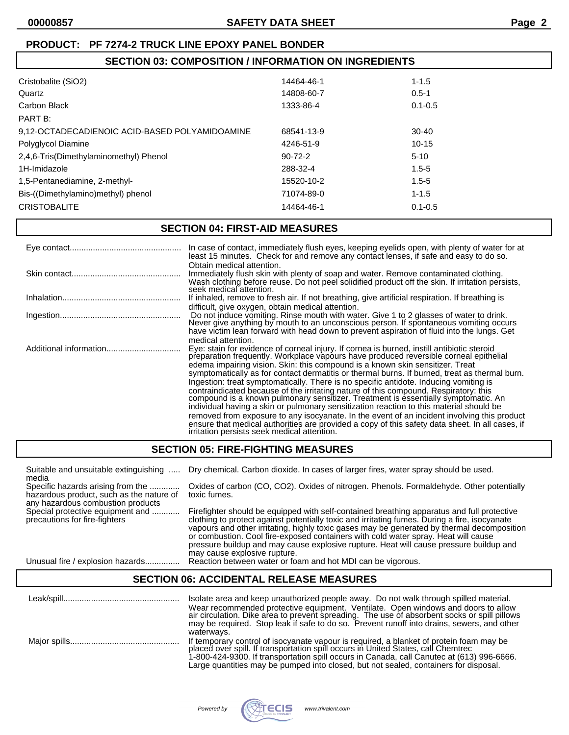# **SECTION 03: COMPOSITION / INFORMATION ON INGREDIENTS**

| Cristobalite (SiO2)                            | 14464-46-1    | $1 - 1.5$   |
|------------------------------------------------|---------------|-------------|
| Quartz                                         | 14808-60-7    | $0.5 - 1$   |
| Carbon Black                                   | 1333-86-4     | $0.1 - 0.5$ |
| PART B:                                        |               |             |
| 9,12-OCTADECADIENOIC ACID-BASED POLYAMIDOAMINE | 68541-13-9    | $30-40$     |
| Polyglycol Diamine                             | 4246-51-9     | $10-15$     |
| 2,4,6-Tris(Dimethylaminomethyl) Phenol         | $90 - 72 - 2$ | $5 - 10$    |
| 1H-Imidazole                                   | 288-32-4      | $1.5 - 5$   |
| 1,5-Pentanediamine, 2-methyl-                  | 15520-10-2    | $1.5 - 5$   |
| Bis-((Dimethylamino)methyl) phenol             | 71074-89-0    | $1 - 1.5$   |
| <b>CRISTOBALITE</b>                            | 14464-46-1    | $0.1 - 0.5$ |
|                                                |               |             |

# **SECTION 04: FIRST-AID MEASURES**

|                        | In case of contact, immediately flush eyes, keeping eyelids open, with plenty of water for at<br>least 15 minutes. Check for and remove any contact lenses, if safe and easy to do so.                                                                                                                                                                                                                                                                                                                                                                                                                                                                                                                                                                                                                                                                                                                                                                                                                      |
|------------------------|-------------------------------------------------------------------------------------------------------------------------------------------------------------------------------------------------------------------------------------------------------------------------------------------------------------------------------------------------------------------------------------------------------------------------------------------------------------------------------------------------------------------------------------------------------------------------------------------------------------------------------------------------------------------------------------------------------------------------------------------------------------------------------------------------------------------------------------------------------------------------------------------------------------------------------------------------------------------------------------------------------------|
|                        | Obtain medical attention.<br>Immediately flush skin with plenty of soap and water. Remove contaminated clothing.<br>Wash clothing before reuse. Do not peel solidified product off the skin. If irritation persists,<br>seek medical attention.                                                                                                                                                                                                                                                                                                                                                                                                                                                                                                                                                                                                                                                                                                                                                             |
|                        | If inhaled, remove to fresh air. If not breathing, give artificial respiration. If breathing is                                                                                                                                                                                                                                                                                                                                                                                                                                                                                                                                                                                                                                                                                                                                                                                                                                                                                                             |
|                        | difficult, give oxygen, obtain medical attention.<br>Do not induce vomiting. Rinse mouth with water. Give 1 to 2 glasses of water to drink.<br>Never give anything by mouth to an unconscious person. If spontaneous vomiting occurs<br>have victim lean forward with head down to prevent aspiration of fluid into the lungs. Get                                                                                                                                                                                                                                                                                                                                                                                                                                                                                                                                                                                                                                                                          |
| Additional information | medical attention.<br>Eye: stain for evidence of corneal injury. If cornea is burned, instill antibiotic steroid<br>preparation frequently. Workplace vapours have produced reversible corneal epithelial<br>edema impairing vision. Skin: this compound is a known skin sensitizer. Treat<br>symptomatically as for contact dermatitis or thermal burns. If burned, treat as thermal burn.<br>Ingestion: treat symptomatically. There is no specific antidote. Inducing vomiting is<br>contraindicated because of the irritating nature of this compound. Respiratory: this<br>compound is a known pulmonary sensitizer. Treatment is essentially symptomatic. An<br>individual having a skin or pulmonary sensitization reaction to this material should be<br>removed from exposure to any isocyanate. In the event of an incident involving this product<br>ensure that medical authorities are provided a copy of this safety data sheet. In all cases, if irritation persists seek medical attention. |

# **SECTION 05: FIRE-FIGHTING MEASURES**

| Suitable and unsuitable extinguishing                                                                              | Dry chemical. Carbon dioxide. In cases of larger fires, water spray should be used.                                                                                                                                                                                                                                                                                                                                                                                                                       |
|--------------------------------------------------------------------------------------------------------------------|-----------------------------------------------------------------------------------------------------------------------------------------------------------------------------------------------------------------------------------------------------------------------------------------------------------------------------------------------------------------------------------------------------------------------------------------------------------------------------------------------------------|
| media                                                                                                              |                                                                                                                                                                                                                                                                                                                                                                                                                                                                                                           |
| Specific hazards arising from the<br>hazardous product, such as the nature of<br>any hazardous combustion products | Oxides of carbon (CO, CO2). Oxides of nitrogen. Phenols. Formaldehyde. Other potentially<br>toxic fumes.                                                                                                                                                                                                                                                                                                                                                                                                  |
| Special protective equipment and<br>precautions for fire-fighters                                                  | Firefighter should be equipped with self-contained breathing apparatus and full protective<br>clothing to protect against potentially toxic and irritating fumes. During a fire, isocyanate<br>vapours and other irritating, highly toxic gases may be generated by thermal decomposition<br>or combustion. Cool fire-exposed containers with cold water spray. Heat will cause<br>pressure buildup and may cause explosive rupture. Heat will cause pressure buildup and<br>may cause explosive rupture. |

Unusual fire / explosion hazards............... Reaction between water or foam and hot MDI can be vigorous.

## **SECTION 06: ACCIDENTAL RELEASE MEASURES**

| Isolate area and keep unauthorized people away. Do not walk through spilled material.<br>Wear recommended protective equipment. Ventilate. Open windows and doors to allow<br>air circulation. Dike area to prevent spreading. The use of absorbent socks or spill pillows<br>may be required. Stop leak if safe to do so. Prevent runoff into drains, sewers, and other<br>waterways. |
|----------------------------------------------------------------------------------------------------------------------------------------------------------------------------------------------------------------------------------------------------------------------------------------------------------------------------------------------------------------------------------------|
| If temporary control of isocyanate vapour is required, a blanket of protein foam may be placed over spill. If transportation spill occurs in United States, call Chemtrec<br>1-800-424-9300. If transportation spill occurs in Canada, call Canutec at (613) 996-6666.<br>Large quantities may be pumped into closed, but not sealed, containers for disposal.                         |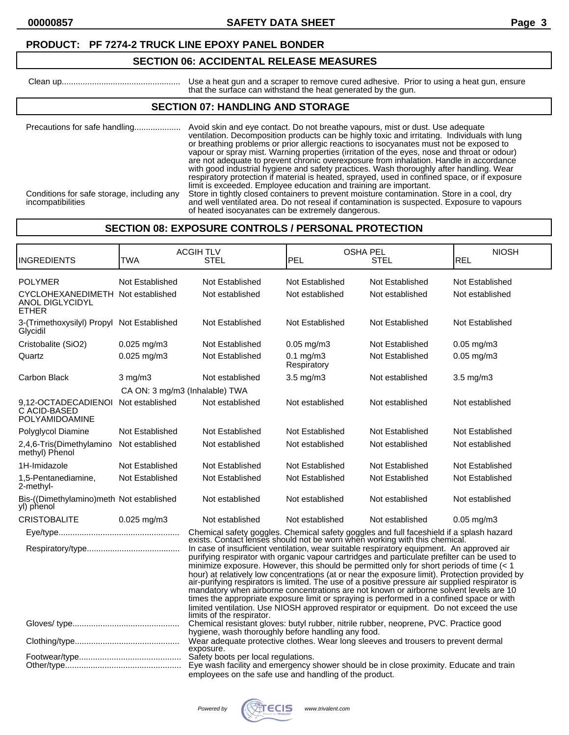### **SECTION 06: ACCIDENTAL RELEASE MEASURES**

 Clean up................................................... Use a heat gun and a scraper to remove cured adhesive. Prior to using a heat gun, ensure that the surface can withstand the heat generated by the gun.

## **SECTION 07: HANDLING AND STORAGE**

Precautions for safe handling.................... Avoid skin and eye contact. Do not breathe vapours, mist or dust. Use adequate ventilation. Decomposition products can be highly toxic and irritating. Individuals with lung or breathing problems or prior allergic reactions to isocyanates must not be exposed to vapour or spray mist. Warning properties (irritation of the eyes, nose and throat or odour) are not adequate to prevent chronic overexposure from inhalation. Handle in accordance with good industrial hygiene and safety practices. Wash thoroughly after handling. Wear respiratory protection if material is heated, sprayed, used in confined space, or if exposure limit is exceeded. Employee education and training are important. Conditions for safe storage, including any Store in tightly closed containers to prevent moisture contamination. Store in a cool, dry incompatibilities and well ventilated area. Do not reseal if contamination is suspected. Exposure to vapours of heated isocyanates can be extremely dangerous.

# **SECTION 08: EXPOSURE CONTROLS / PERSONAL PROTECTION**

| INGREDIENTS                                                                                                                                                                                                                                                                                                                                                                                                                                                                                                                                                                                                                                                                                                                                                                                                                                                                                                                                                                   | TWA                            | <b>ACGIH TLV</b><br><b>STEL</b>                                                                                                                                                         | <b>OSHA PEL</b><br>PEL        | STEL            | <b>NIOSH</b><br><b>REL</b> |
|-------------------------------------------------------------------------------------------------------------------------------------------------------------------------------------------------------------------------------------------------------------------------------------------------------------------------------------------------------------------------------------------------------------------------------------------------------------------------------------------------------------------------------------------------------------------------------------------------------------------------------------------------------------------------------------------------------------------------------------------------------------------------------------------------------------------------------------------------------------------------------------------------------------------------------------------------------------------------------|--------------------------------|-----------------------------------------------------------------------------------------------------------------------------------------------------------------------------------------|-------------------------------|-----------------|----------------------------|
| <b>POLYMER</b>                                                                                                                                                                                                                                                                                                                                                                                                                                                                                                                                                                                                                                                                                                                                                                                                                                                                                                                                                                | Not Established                | Not Established                                                                                                                                                                         | Not Established               | Not Established | Not Established            |
| CYCLOHEXANEDIMETH Not established<br>ANOL DIGLYCIDYL<br><b>ETHER</b>                                                                                                                                                                                                                                                                                                                                                                                                                                                                                                                                                                                                                                                                                                                                                                                                                                                                                                          |                                | Not established                                                                                                                                                                         | Not established               | Not established | Not established            |
| 3-(Trimethoxysilyl) Propyl Not Established<br>Glycidil                                                                                                                                                                                                                                                                                                                                                                                                                                                                                                                                                                                                                                                                                                                                                                                                                                                                                                                        |                                | Not Established                                                                                                                                                                         | Not Established               | Not Established | Not Established            |
| Cristobalite (SiO2)                                                                                                                                                                                                                                                                                                                                                                                                                                                                                                                                                                                                                                                                                                                                                                                                                                                                                                                                                           | $0.025$ mg/m3                  | Not Established                                                                                                                                                                         | $0.05$ mg/m $3$               | Not Established | $0.05$ mg/m $3$            |
| Quartz                                                                                                                                                                                                                                                                                                                                                                                                                                                                                                                                                                                                                                                                                                                                                                                                                                                                                                                                                                        | 0.025 mg/m3                    | Not Established                                                                                                                                                                         | $0.1$ mg/m $3$<br>Respiratory | Not Established | $0.05$ mg/m $3$            |
| Carbon Black                                                                                                                                                                                                                                                                                                                                                                                                                                                                                                                                                                                                                                                                                                                                                                                                                                                                                                                                                                  | $3$ mg/m $3$                   | Not established                                                                                                                                                                         | $3.5$ mg/m $3$                | Not established | $3.5$ mg/m $3$             |
|                                                                                                                                                                                                                                                                                                                                                                                                                                                                                                                                                                                                                                                                                                                                                                                                                                                                                                                                                                               | CA ON: 3 mg/m3 (Inhalable) TWA |                                                                                                                                                                                         |                               |                 |                            |
| 9.12-OCTADECADIENOI<br>C ACID-BASED<br>POLYAMIDOAMINE                                                                                                                                                                                                                                                                                                                                                                                                                                                                                                                                                                                                                                                                                                                                                                                                                                                                                                                         | Not established                | Not established                                                                                                                                                                         | Not established               | Not established | Not established            |
| Polyglycol Diamine                                                                                                                                                                                                                                                                                                                                                                                                                                                                                                                                                                                                                                                                                                                                                                                                                                                                                                                                                            | Not Established                | Not Established                                                                                                                                                                         | Not Established               | Not Established | Not Established            |
| 2,4,6-Tris(Dimethylamino<br>methyl) Phenol                                                                                                                                                                                                                                                                                                                                                                                                                                                                                                                                                                                                                                                                                                                                                                                                                                                                                                                                    | Not established                | Not established                                                                                                                                                                         | Not established               | Not established | Not established            |
| 1H-Imidazole                                                                                                                                                                                                                                                                                                                                                                                                                                                                                                                                                                                                                                                                                                                                                                                                                                                                                                                                                                  | Not Established                | Not Established                                                                                                                                                                         | Not Established               | Not Established | Not Established            |
| 1,5-Pentanediamine,<br>2-methyl-                                                                                                                                                                                                                                                                                                                                                                                                                                                                                                                                                                                                                                                                                                                                                                                                                                                                                                                                              | Not Established                | Not Established                                                                                                                                                                         | Not Established               | Not Established | Not Established            |
| Bis-((Dimethylamino)meth Not established<br>yl) phenol                                                                                                                                                                                                                                                                                                                                                                                                                                                                                                                                                                                                                                                                                                                                                                                                                                                                                                                        |                                | Not established                                                                                                                                                                         | Not established               | Not established | Not established            |
| <b>CRISTOBALITE</b>                                                                                                                                                                                                                                                                                                                                                                                                                                                                                                                                                                                                                                                                                                                                                                                                                                                                                                                                                           | $0.025$ mg/m3                  | Not established                                                                                                                                                                         | Not established               | Not established | $0.05$ mg/m $3$            |
|                                                                                                                                                                                                                                                                                                                                                                                                                                                                                                                                                                                                                                                                                                                                                                                                                                                                                                                                                                               |                                |                                                                                                                                                                                         |                               |                 |                            |
| Chemical safety goggles. Chemical safety goggles and full faceshield if a splash hazard exists. Contact lenses should not be worn when working with this chemical.<br>In case of insufficient ventilation, wear suitable respiratory equipment. An approved air<br>purifying respirator with organic vapour cartridges and particulate prefilter can be used to<br>minimize exposure. However, this should be permitted only for short periods of time $(< 1$<br>hour) at relatively low concentrations (at or near the exposure limit). Protection provided by air-purifying respirators is limited. The use of a positive pressure air supplied respirator is<br>mandatory when airborne concentrations are not known or airborne solvent levels are 10<br>times the appropriate exposure limit or spraying is performed in a confined space or with<br>limited ventilation. Use NIOSH approved respirator or equipment. Do not exceed the use<br>limits of the respirator. |                                |                                                                                                                                                                                         |                               |                 |                            |
|                                                                                                                                                                                                                                                                                                                                                                                                                                                                                                                                                                                                                                                                                                                                                                                                                                                                                                                                                                               |                                | Chemical resistant gloves: butyl rubber, nitrile rubber, neoprene, PVC. Practice good<br>hygiene, wash thoroughly before handling any food.                                             |                               |                 |                            |
|                                                                                                                                                                                                                                                                                                                                                                                                                                                                                                                                                                                                                                                                                                                                                                                                                                                                                                                                                                               |                                | Wear adequate protective clothes. Wear long sleeves and trousers to prevent dermal<br>exposure.                                                                                         |                               |                 |                            |
|                                                                                                                                                                                                                                                                                                                                                                                                                                                                                                                                                                                                                                                                                                                                                                                                                                                                                                                                                                               |                                | Safety boots per local regulations.<br>Eye wash facility and emergency shower should be in close proximity. Educate and train<br>employees on the safe use and handling of the product. |                               |                 |                            |

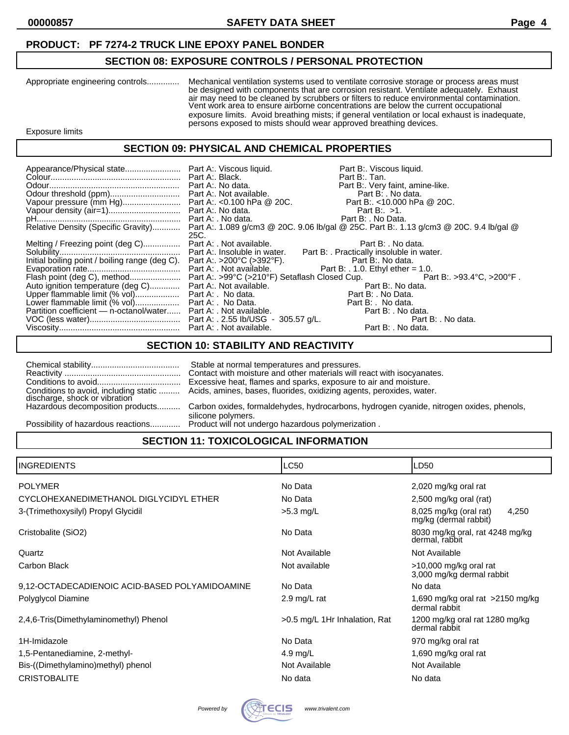# **SECTION 08: EXPOSURE CONTROLS / PERSONAL PROTECTION**

| Appropriate engineering controls | Mechanical ventilation systems used to ventilate corrosive storage or process areas must<br>be designed with components that are corrosion resistant. Ventilate adequately. Exhaust<br>air may need to be cleaned by scrubbers or filters to reduce environmental contamination.<br>Vent work area to ensure airborne concentrations are below the current occupational<br>exposure limits. Avoid breathing mists; if general ventilation or local exhaust is inadequate,<br>persons exposed to mists should wear approved breathing devices. |
|----------------------------------|-----------------------------------------------------------------------------------------------------------------------------------------------------------------------------------------------------------------------------------------------------------------------------------------------------------------------------------------------------------------------------------------------------------------------------------------------------------------------------------------------------------------------------------------------|
| Exposure limits                  |                                                                                                                                                                                                                                                                                                                                                                                                                                                                                                                                               |

# **SECTION 09: PHYSICAL AND CHEMICAL PROPERTIES**

|                                                                                            |      | Part B:. Viscous liquid.<br>Part B:. Tan.                                                                                  |  |
|--------------------------------------------------------------------------------------------|------|----------------------------------------------------------------------------------------------------------------------------|--|
|                                                                                            |      | Part B:. Very faint, amine-like.                                                                                           |  |
|                                                                                            |      |                                                                                                                            |  |
|                                                                                            |      |                                                                                                                            |  |
|                                                                                            |      |                                                                                                                            |  |
|                                                                                            |      |                                                                                                                            |  |
|                                                                                            |      |                                                                                                                            |  |
|                                                                                            |      | Relative Density (Specific Gravity) Part A:. 1.089 g/cm3 @ 20C. 9.06 lb/gal @ 25C. Part B:. 1.13 g/cm3 @ 20C. 9.4 lb/gal @ |  |
|                                                                                            | 25C. |                                                                                                                            |  |
| Melting / Freezing point (deg C) Part A: . Not available.                                  |      | Part B: . No data.                                                                                                         |  |
|                                                                                            |      |                                                                                                                            |  |
| Initial boiling point / boiling range (deg C). Part A:. >200°C (>392°F). Part B:. No data. |      |                                                                                                                            |  |
|                                                                                            |      |                                                                                                                            |  |
|                                                                                            |      |                                                                                                                            |  |
| Auto ignition temperature (deg C) Part A:. Not available.                                  |      |                                                                                                                            |  |
|                                                                                            |      | e.<br>Part B: No data.<br>Part B: No Data                                                                                  |  |
|                                                                                            |      | Part B: No data.                                                                                                           |  |
| Partition coefficient — n-octanol/water Part A: . Not available.                           |      | Part B: . No data.                                                                                                         |  |
|                                                                                            |      | Part B: . No data.                                                                                                         |  |
|                                                                                            |      | Part B: . No data.                                                                                                         |  |

# **SECTION 10: STABILITY AND REACTIVITY**

| Conditions to avoid, including static                             | Stable at normal temperatures and pressures.<br>Contact with moisture and other materials will react with isocyanates.<br>Excessive heat, flames and sparks, exposure to air and moisture.<br>Acids, amines, bases, fluorides, oxidizing agents, peroxides, water. |
|-------------------------------------------------------------------|--------------------------------------------------------------------------------------------------------------------------------------------------------------------------------------------------------------------------------------------------------------------|
| discharge, shock or vibration<br>Hazardous decomposition products | Carbon oxides, formaldehydes, hydrocarbons, hydrogen cyanide, nitrogen oxides, phenols,                                                                                                                                                                            |
| Possibility of hazardous reactions                                | silicone polymers.<br>Product will not undergo hazardous polymerization.                                                                                                                                                                                           |

# **SECTION 11: TOXICOLOGICAL INFORMATION**

| <b>INGREDIENTS</b>                             | <b>LC50</b>                   | LD50                                                     |
|------------------------------------------------|-------------------------------|----------------------------------------------------------|
| <b>POLYMER</b>                                 | No Data                       | 2,020 mg/kg oral rat                                     |
| CYCLOHEXANEDIMETHANOL DIGLYCIDYL ETHER         | No Data                       | 2,500 mg/kg oral (rat)                                   |
| 3-(Trimethoxysilyl) Propyl Glycidil            | $>5.3$ mg/L                   | 8,025 mg/kg (oral rat)<br>4,250<br>mg/kg (dermal rabbit) |
| Cristobalite (SiO2)                            | No Data                       | 8030 mg/kg oral, rat 4248 mg/kg<br>dermal, rabbit        |
| Quartz                                         | Not Available                 | Not Available                                            |
| <b>Carbon Black</b>                            | Not available                 | >10,000 mg/kg oral rat<br>3,000 mg/kg dermal rabbit      |
| 9,12-OCTADECADIENOIC ACID-BASED POLYAMIDOAMINE | No Data                       | No data                                                  |
| Polyglycol Diamine                             | 2.9 mg/L rat                  | 1,690 mg/kg oral rat $>2150$ mg/kg<br>dermal rabbit      |
| 2,4,6-Tris(Dimethylaminomethyl) Phenol         | >0.5 mg/L 1Hr Inhalation, Rat | 1200 mg/kg oral rat 1280 mg/kg<br>dermal rabbit          |
| 1H-Imidazole                                   | No Data                       | 970 mg/kg oral rat                                       |
| 1,5-Pentanediamine, 2-methyl-                  | 4.9 mg/L                      | 1,690 mg/kg oral rat                                     |
| Bis-((Dimethylamino)methyl) phenol             | Not Available                 | Not Available                                            |
| <b>CRISTOBALITE</b>                            | No data                       | No data                                                  |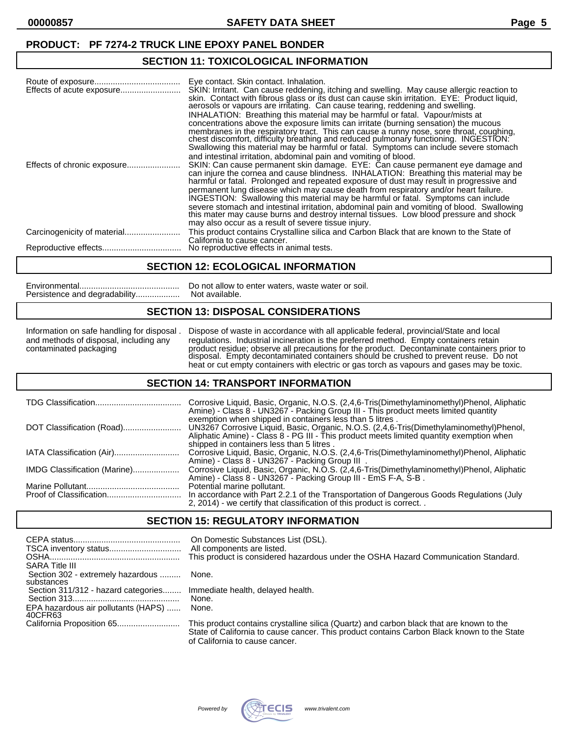## **SECTION 11: TOXICOLOGICAL INFORMATION**

|                             | Eye contact. Skin contact. Inhalation.<br>SKIN: Irritant. Can cause reddening, itching and swelling. May cause allergic reaction to<br>skin. Contact with fibrous glass or its dust can cause skin irritation. EYE: Product liquid,<br>aerosols or vapours are irritating. Can cause tearing, reddening and swelling.<br>INHALATION: Breathing this material may be harmful or fatal. Vapour/mists at<br>concentrations above the exposure limits can irritate (burning sensation) the mucous<br>membranes in the respiratory tract. This can cause a runny nose, sore throat, coughing,<br>chest discomfort, difficulty breathing and reduced pulmonary functioning. INGESTION:<br>Swallowing this material may be harmful or fatal. Symptoms can include severe stomach |
|-----------------------------|---------------------------------------------------------------------------------------------------------------------------------------------------------------------------------------------------------------------------------------------------------------------------------------------------------------------------------------------------------------------------------------------------------------------------------------------------------------------------------------------------------------------------------------------------------------------------------------------------------------------------------------------------------------------------------------------------------------------------------------------------------------------------|
|                             | and intestinal irritation, abdominal pain and vomiting of blood.<br>SKIN: Can cause permanent skin damage. EYE: Can cause permanent eye damage and<br>can injure the cornea and cause blindness. INHALATION: Breathing this material may be<br>harmful or fatal. Prolonged and repeated exposure of dust may result in progressive and                                                                                                                                                                                                                                                                                                                                                                                                                                    |
|                             | permanent lung disease which may cause death from respiratory and/or heart failure.<br>INGESTION: Swallowing this material may be harmful or fatal. Symptoms can include<br>severe stomach and intestinal irritation, abdominal pain and vomiting of blood. Swallowing<br>this mater may cause burns and destroy internal tissues. Low blood pressure and shock<br>may also occur as a result of severe tissue injury.                                                                                                                                                                                                                                                                                                                                                    |
| Carcinogenicity of material | This product contains Crystalline silica and Carbon Black that are known to the State of                                                                                                                                                                                                                                                                                                                                                                                                                                                                                                                                                                                                                                                                                  |
|                             | California to cause cancer.<br>No reproductive effects in animal tests.                                                                                                                                                                                                                                                                                                                                                                                                                                                                                                                                                                                                                                                                                                   |

#### **SECTION 12: ECOLOGICAL INFORMATION**

|                               | Do not allow to |
|-------------------------------|-----------------|
| Persistence and degradability | Not available.  |

w to enter waters, waste water or soil.

## **SECTION 13: DISPOSAL CONSIDERATIONS**

Information on safe handling for disposal . Dispose of waste in accordance with all applicable federal, provincial/State and local and methods of disposal, including any regulations. Industrial incineration is the preferred method. Empty containers retain contaminated packaging product residue; observe all precautions for the product. Decontaminate containers prior to disposal. Empty decontaminated containers should be crushed to prevent reuse. Do not heat or cut empty containers with electric or gas torch as vapours and gases may be toxic.

### **SECTION 14: TRANSPORT INFORMATION**

|                              | Corrosive Liquid, Basic, Organic, N.O.S. (2,4,6-Tris(Dimethylaminomethyl)Phenol, Aliphatic<br>Amine) - Class 8 - UN3267 - Packing Group III - This product meets limited quantity                                                                                                            |
|------------------------------|----------------------------------------------------------------------------------------------------------------------------------------------------------------------------------------------------------------------------------------------------------------------------------------------|
| DOT Classification (Road)    | exemption when shipped in containers less than 5 litres.<br>UN3267 Corrosive Liquid, Basic, Organic, N.O.S. (2,4,6-Tris(Dimethylaminomethyl)Phenol,<br>Aliphatic Amine) - Class 8 - PG III - This product meets limited quantity exemption when<br>shipped in containers less than 5 litres. |
| IATA Classification (Air)    | Corrosive Liquid, Basic, Organic, N.O.S. (2,4,6-Tris(Dimethylaminomethyl)Phenol, Aliphatic<br>Amine) - Class 8 - UN3267 - Packing Group III.                                                                                                                                                 |
| IMDG Classification (Marine) | Corrosive Liquid, Basic, Organic, N.O.S. (2,4,6-Tris(Dimethylaminomethyl)Phenol, Aliphatic<br>Amine) - Class 8 - UN3267 - Packing Group III - EmS F-A, S-B.                                                                                                                                  |
|                              | Potential marine pollutant.<br>In accordance with Part 2.2.1 of the Transportation of Dangerous Goods Regulations (July<br>2, 2014) - we certify that classification of this product is correct                                                                                              |

## **SECTION 15: REGULATORY INFORMATION**

| <b>SARA Title III</b>                           | On Domestic Substances List (DSL).<br>All components are listed.<br>This product is considered hazardous under the OSHA Hazard Communication Standard.                                 |
|-------------------------------------------------|----------------------------------------------------------------------------------------------------------------------------------------------------------------------------------------|
| Section 302 - extremely hazardous<br>substances | None.                                                                                                                                                                                  |
| Section 311/312 - hazard categories             | Immediate health, delayed health.<br>None.                                                                                                                                             |
| EPA hazardous air pollutants (HAPS)<br>40CFR63  | None.                                                                                                                                                                                  |
|                                                 | This product contains crystalline silica (Quartz) and carbon black that are known to the<br>State of California to cause cancer. This product contains Carbon Black known to the State |

of California to cause cancer.